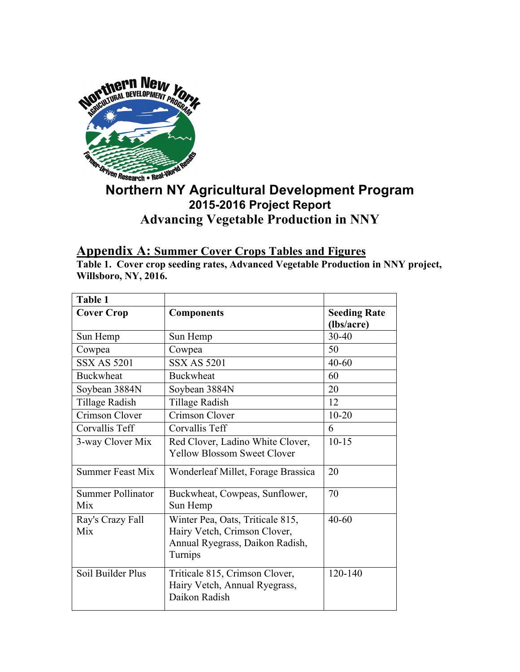

## *Niven Research* **• Real-World v<br>Northern NY Agricultural Development Program 2015-2016 Project Report Advancing Vegetable Production in NNY**

## **Appendix A: Summer Cover Crops Tables and Figures**

**Table 1. Cover crop seeding rates, Advanced Vegetable Production in NNY project, Willsboro, NY, 2016.**

| Table 1                         |                                                                                                                             |                                   |
|---------------------------------|-----------------------------------------------------------------------------------------------------------------------------|-----------------------------------|
| <b>Cover Crop</b>               | <b>Components</b>                                                                                                           | <b>Seeding Rate</b><br>(lbs/acre) |
| Sun Hemp                        | Sun Hemp                                                                                                                    | $30 - 40$                         |
| Cowpea                          | Cowpea                                                                                                                      | 50                                |
| <b>SSX AS 5201</b>              | <b>SSX AS 5201</b>                                                                                                          | $40 - 60$                         |
| <b>Buckwheat</b>                | <b>Buckwheat</b>                                                                                                            | 60                                |
| Soybean 3884N                   | Soybean 3884N                                                                                                               | 20                                |
| Tillage Radish                  | Tillage Radish                                                                                                              | 12                                |
| Crimson Clover                  | Crimson Clover                                                                                                              | $10 - 20$                         |
| Corvallis Teff                  | Corvallis Teff                                                                                                              | 6                                 |
| 3-way Clover Mix                | Red Clover, Ladino White Clover,<br><b>Yellow Blossom Sweet Clover</b>                                                      | $10 - 15$                         |
| <b>Summer Feast Mix</b>         | Wonderleaf Millet, Forage Brassica                                                                                          | 20                                |
| <b>Summer Pollinator</b><br>Mix | Buckwheat, Cowpeas, Sunflower,<br>Sun Hemp                                                                                  | 70                                |
| Ray's Crazy Fall<br>Mix         | Winter Pea, Oats, Triticale 815,<br>$40 - 60$<br>Hairy Vetch, Crimson Clover,<br>Annual Ryegrass, Daikon Radish,<br>Turnips |                                   |
| Soil Builder Plus               | Triticale 815, Crimson Clover,<br>Hairy Vetch, Annual Ryegrass,<br>Daikon Radish                                            | 120-140                           |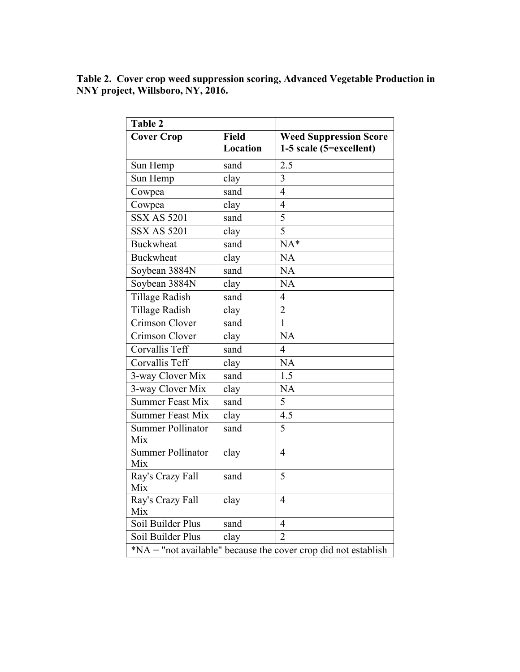**Table 2. Cover crop weed suppression scoring, Advanced Vegetable Production in NNY project, Willsboro, NY, 2016.**

| <b>Table 2</b>                                                              |                          |                                                          |  |
|-----------------------------------------------------------------------------|--------------------------|----------------------------------------------------------|--|
| <b>Cover Crop</b>                                                           | <b>Field</b><br>Location | <b>Weed Suppression Score</b><br>1-5 scale (5=excellent) |  |
| Sun Hemp                                                                    | sand                     | 2.5                                                      |  |
| Sun Hemp                                                                    | clay                     | $\overline{3}$                                           |  |
| Cowpea                                                                      | sand                     | $\overline{4}$                                           |  |
| Cowpea                                                                      | clay                     | $\overline{4}$                                           |  |
| <b>SSX AS 5201</b>                                                          | sand                     | $\overline{5}$                                           |  |
| <b>SSX AS 5201</b>                                                          | clay                     | $\overline{5}$                                           |  |
| <b>Buckwheat</b>                                                            | sand                     | $NA*$                                                    |  |
| <b>Buckwheat</b>                                                            | clay                     | NA                                                       |  |
| Soybean 3884N                                                               | sand                     | NA                                                       |  |
| Soybean 3884N                                                               | clay                     | <b>NA</b>                                                |  |
| <b>Tillage Radish</b>                                                       | sand                     | $\overline{4}$                                           |  |
| <b>Tillage Radish</b>                                                       | clay                     | $\overline{2}$                                           |  |
| Crimson Clover                                                              | sand                     | $\mathbf{1}$                                             |  |
| Crimson Clover                                                              | clay                     | NA                                                       |  |
| Corvallis Teff                                                              | sand                     | $\overline{4}$                                           |  |
| Corvallis Teff                                                              | clay                     | NA                                                       |  |
| 3-way Clover Mix                                                            | sand                     | 1.5                                                      |  |
| 3-way Clover Mix                                                            | clay                     | <b>NA</b>                                                |  |
| <b>Summer Feast Mix</b>                                                     | sand                     | 5                                                        |  |
| <b>Summer Feast Mix</b>                                                     | clay                     | $\overline{4.5}$                                         |  |
| <b>Summer Pollinator</b><br>Mix                                             | sand                     | $\overline{5}$                                           |  |
| <b>Summer Pollinator</b><br>Mix                                             | clay                     | $\overline{4}$                                           |  |
| Ray's Crazy Fall<br>Mix                                                     | sand                     | 5                                                        |  |
| Ray's Crazy Fall<br>Mix                                                     | clay                     | $\overline{4}$                                           |  |
| Soil Builder Plus                                                           | sand                     | $\overline{4}$                                           |  |
| Soil Builder Plus                                                           | clay                     | $\overline{2}$                                           |  |
| $*\overline{NA}$ = "not available" because the cover crop did not establish |                          |                                                          |  |